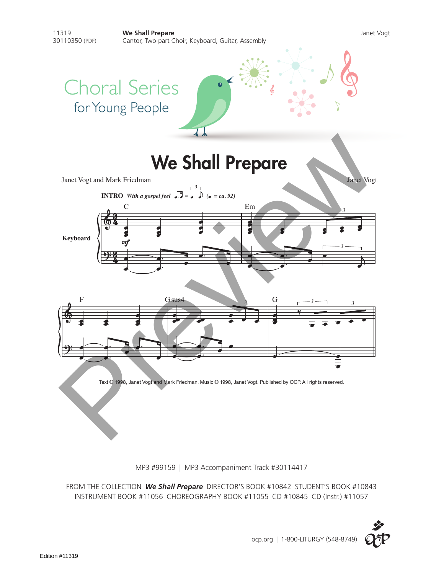

MP3 #99159 | MP3 Accompaniment Track #30114417

FROM THE COLLECTION *We Shall Prepare* DIRECTOR'S BOOK #10842 STUDENT'S BOOK #10843 INSTRUMENT BOOK #11056 CHOREOGRAPHY BOOK #11055 CD #10845 CD (Instr.) #11057

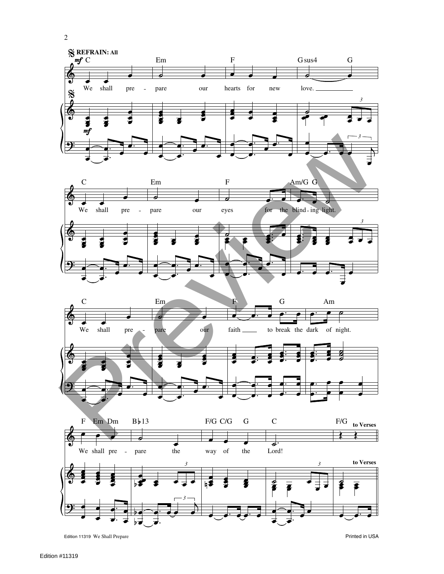

*3*

the way of

4\$

the

 $\overrightarrow{3}$ 

Edition 11319 We Shall Prepare Printed in USA

We shall pre

pare

 $\bar{\phantom{a}}$ 

*3 3* **to Verses**

নে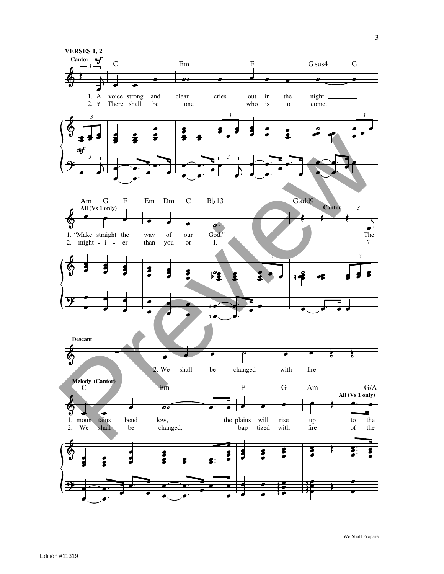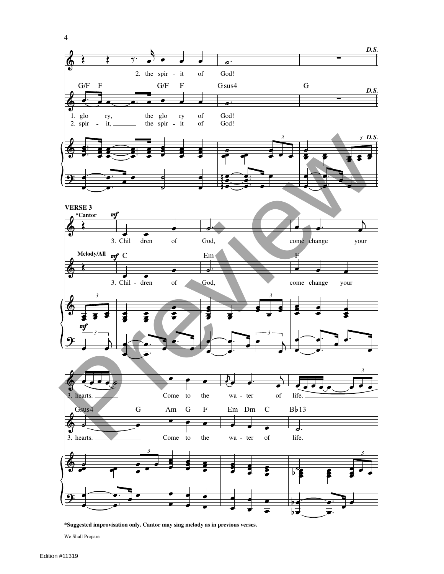

**\*Suggested improvisation only. Cantor may sing melody as in previous verses.**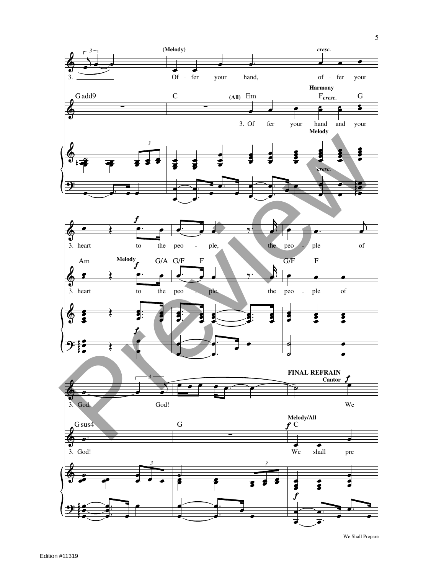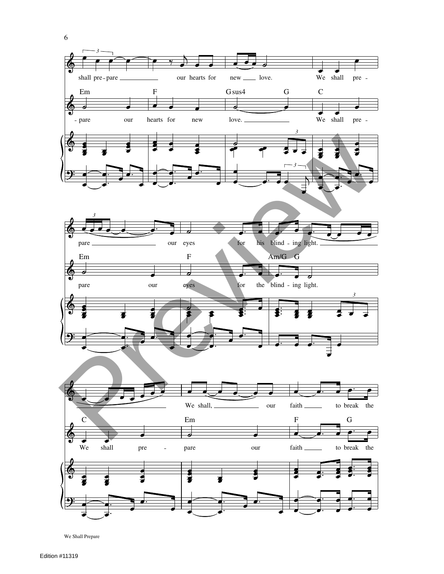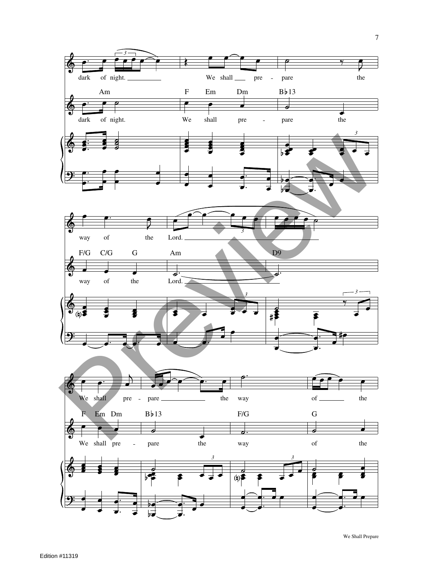